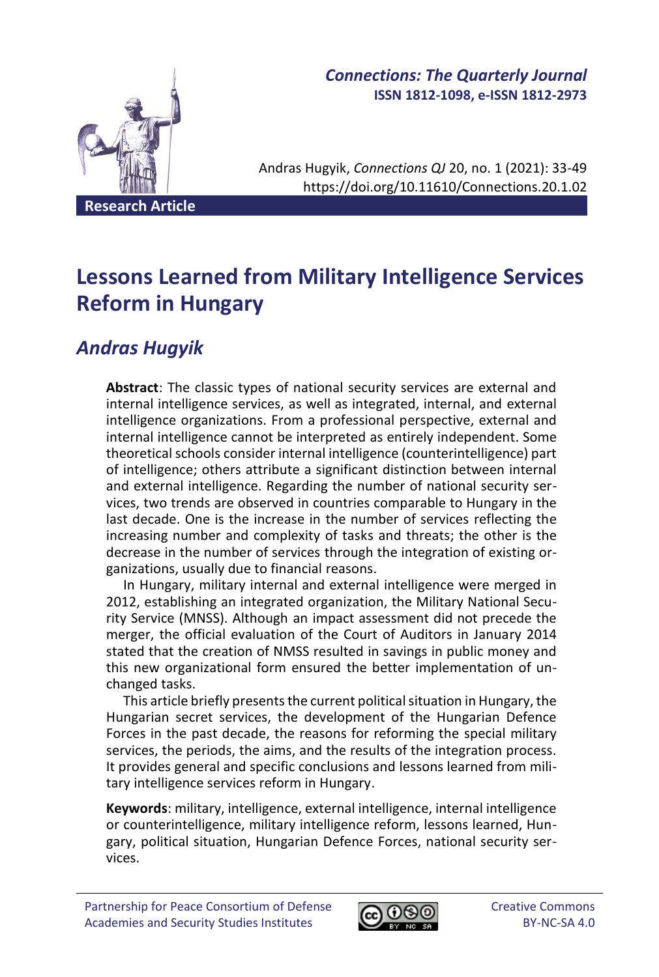

## *Connections: The Quarterly Journal* **ISSN 1812-1098, e-ISSN 1812-2973**

Andras Hugyik, *Connections QJ* 20, no. 1 (2021): 33-49 https://doi.org/10.11610/Connections.20.1.02

**Research Article**

# **Lessons Learned from Military Intelligence Services Reform in Hungary**

## *Andras Hugyik*

**Abstract**: The classic types of national security services are external and internal intelligence services, as well as integrated, internal, and external intelligence organizations. From a professional perspective, external and internal intelligence cannot be interpreted as entirely independent. Some theoretical schools consider internal intelligence (counterintelligence) part of intelligence; others attribute a significant distinction between internal and external intelligence. Regarding the number of national security services, two trends are observed in countries comparable to Hungary in the last decade. One is the increase in the number of services reflecting the increasing number and complexity of tasks and threats; the other is the decrease in the number of services through the integration of existing organizations, usually due to financial reasons.

In Hungary, military internal and external intelligence were merged in 2012, establishing an integrated organization, the Military National Security Service (MNSS). Although an impact assessment did not precede the merger, the official evaluation of the Court of Auditors in January 2014 stated that the creation of NMSS resulted in savings in public money and this new organizational form ensured the better implementation of unchanged tasks.

This article briefly presents the current political situation in Hungary, the Hungarian secret services, the development of the Hungarian Defence Forces in the past decade, the reasons for reforming the special military services, the periods, the aims, and the results of the integration process. It provides general and specific conclusions and lessons learned from military intelligence services reform in Hungary.

**Keywords**: military, intelligence, external intelligence, internal intelligence or counterintelligence, military intelligence reform, lessons learned, Hungary, political situation, Hungarian Defence Forces, national security services.

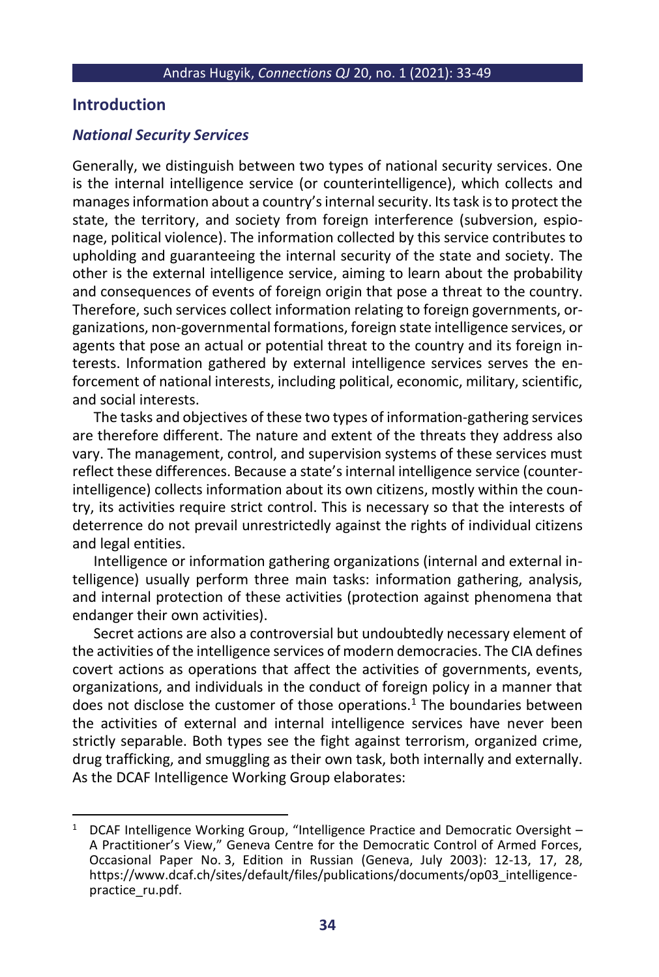## **Introduction**

## *National Security Services*

Generally, we distinguish between two types of national security services. One is the internal intelligence service (or counterintelligence), which collects and manages information about a country's internal security. Its task is to protect the state, the territory, and society from foreign interference (subversion, espionage, political violence). The information collected by this service contributes to upholding and guaranteeing the internal security of the state and society. The other is the external intelligence service, aiming to learn about the probability and consequences of events of foreign origin that pose a threat to the country. Therefore, such services collect information relating to foreign governments, organizations, non-governmental formations, foreign state intelligence services, or agents that pose an actual or potential threat to the country and its foreign interests. Information gathered by external intelligence services serves the enforcement of national interests, including political, economic, military, scientific, and social interests.

The tasks and objectives of these two types of information-gathering services are therefore different. The nature and extent of the threats they address also vary. The management, control, and supervision systems of these services must reflect these differences. Because a state's internal intelligence service (counterintelligence) collects information about its own citizens, mostly within the country, its activities require strict control. This is necessary so that the interests of deterrence do not prevail unrestrictedly against the rights of individual citizens and legal entities.

Intelligence or information gathering organizations (internal and external intelligence) usually perform three main tasks: information gathering, analysis, and internal protection of these activities (protection against phenomena that endanger their own activities).

Secret actions are also a controversial but undoubtedly necessary element of the activities of the intelligence services of modern democracies. The CIA defines covert actions as operations that affect the activities of governments, events, organizations, and individuals in the conduct of foreign policy in a manner that does not disclose the customer of those operations.<sup>1</sup> The boundaries between the activities of external and internal intelligence services have never been strictly separable. Both types see the fight against terrorism, organized crime, drug trafficking, and smuggling as their own task, both internally and externally. As the DCAF Intelligence Working Group elaborates:

<sup>&</sup>lt;sup>1</sup> DCAF Intelligence Working Group, "Intelligence Practice and Democratic Oversight – A Practitioner's View," Geneva Centre for the Democratic Control of Armed Forces, Occasional Paper No. 3, Edition in Russian (Geneva, July 2003): 12-13, 17, 28, https://www.dcaf.ch/sites/default/files/publications/documents/op03\_intelligencepractice\_ru.pdf.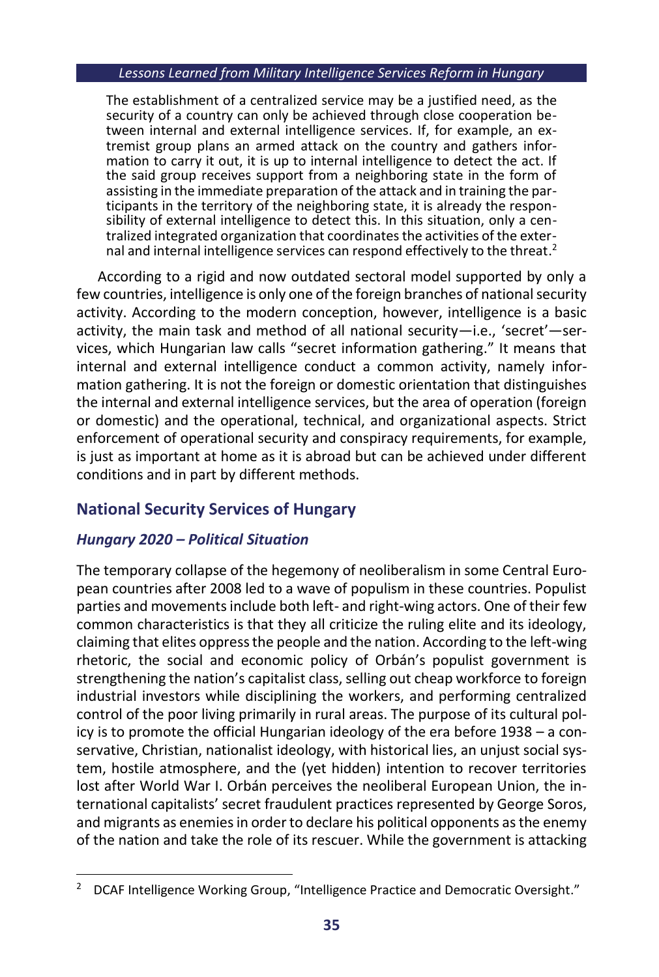The establishment of a centralized service may be a justified need, as the security of a country can only be achieved through close cooperation between internal and external intelligence services. If, for example, an extremist group plans an armed attack on the country and gathers information to carry it out, it is up to internal intelligence to detect the act. If the said group receives support from a neighboring state in the form of assisting in the immediate preparation of the attack and in training the participants in the territory of the neighboring state, it is already the responsibility of external intelligence to detect this. In this situation, only a centralized integrated organization that coordinates the activities of the external and internal intelligence services can respond effectively to the threat.<sup>2</sup>

According to a rigid and now outdated sectoral model supported by only a few countries, intelligence is only one of the foreign branches of national security activity. According to the modern conception, however, intelligence is a basic activity, the main task and method of all national security—i.e., 'secret'—services, which Hungarian law calls "secret information gathering." It means that internal and external intelligence conduct a common activity, namely information gathering. It is not the foreign or domestic orientation that distinguishes the internal and external intelligence services, but the area of operation (foreign or domestic) and the operational, technical, and organizational aspects. Strict enforcement of operational security and conspiracy requirements, for example, is just as important at home as it is abroad but can be achieved under different conditions and in part by different methods.

## **National Security Services of Hungary**

## *Hungary 2020 – Political Situation*

The temporary collapse of the hegemony of neoliberalism in some Central European countries after 2008 led to a wave of populism in these countries. Populist parties and movements include both left- and right-wing actors. One of their few common characteristics is that they all criticize the ruling elite and its ideology, claiming that elites oppress the people and the nation. According to the left-wing rhetoric, the social and economic policy of Orbán's populist government is strengthening the nation's capitalist class, selling out cheap workforce to foreign industrial investors while disciplining the workers, and performing centralized control of the poor living primarily in rural areas. The purpose of its cultural policy is to promote the official Hungarian ideology of the era before 1938 – a conservative, Christian, nationalist ideology, with historical lies, an unjust social system, hostile atmosphere, and the (yet hidden) intention to recover territories lost after World War I. Orbán perceives the neoliberal European Union, the international capitalists' secret fraudulent practices represented by George Soros, and migrants as enemies in order to declare his political opponents as the enemy of the nation and take the role of its rescuer. While the government is attacking

<sup>&</sup>lt;sup>2</sup> DCAF Intelligence Working Group, "Intelligence Practice and Democratic Oversight."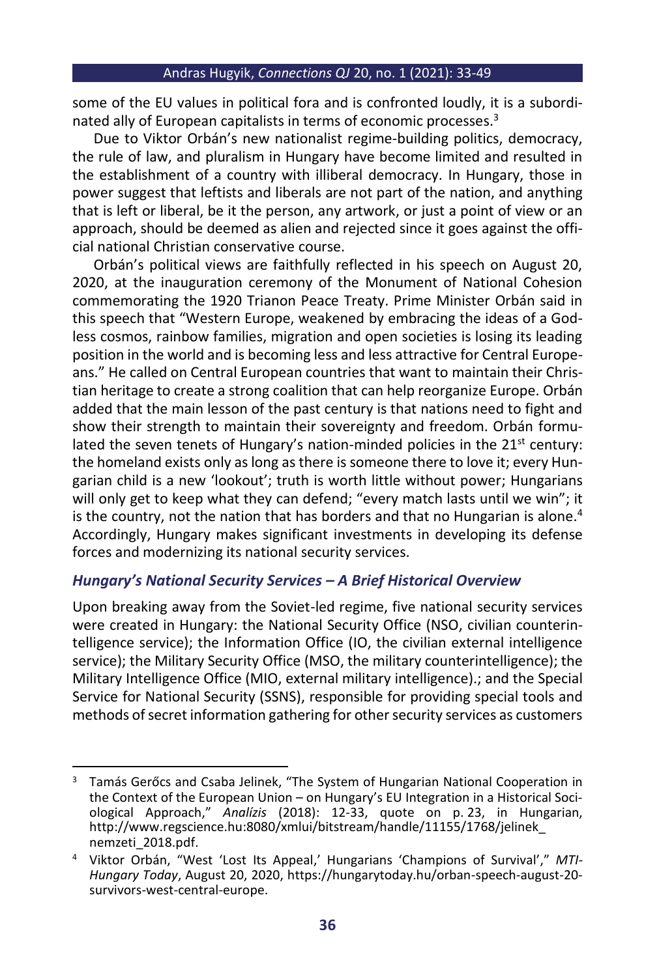some of the EU values in political fora and is confronted loudly, it is a subordinated ally of European capitalists in terms of economic processes.<sup>3</sup>

Due to Viktor Orbán's new nationalist regime-building politics, democracy, the rule of law, and pluralism in Hungary have become limited and resulted in the establishment of a country with illiberal democracy. In Hungary, those in power suggest that leftists and liberals are not part of the nation, and anything that is left or liberal, be it the person, any artwork, or just a point of view or an approach, should be deemed as alien and rejected since it goes against the official national Christian conservative course.

Orbán's political views are faithfully reflected in his speech on August 20, 2020, at the inauguration ceremony of the Monument of National Cohesion commemorating the 1920 Trianon Peace Treaty. Prime Minister Orbán said in this speech that "Western Europe, weakened by embracing the ideas of a Godless cosmos, rainbow families, migration and open societies is losing its leading position in the world and is becoming less and less attractive for Central Europeans." He called on Central European countries that want to maintain their Christian heritage to create a strong coalition that can help reorganize Europe. Orbán added that the main lesson of the past century is that nations need to fight and show their strength to maintain their sovereignty and freedom. Orbán formulated the seven tenets of Hungary's nation-minded policies in the  $21<sup>st</sup>$  century: the homeland exists only as long as there is someone there to love it; every Hungarian child is a new 'lookout'; truth is worth little without power; Hungarians will only get to keep what they can defend; "every match lasts until we win"; it is the country, not the nation that has borders and that no Hungarian is alone. $4$ Accordingly, Hungary makes significant investments in developing its defense forces and modernizing its national security services.

## *Hungary's National Security Services – A Brief Historical Overview*

Upon breaking away from the Soviet-led regime, five national security services were created in Hungary: the National Security Office (NSO, civilian counterintelligence service); the Information Office (IO, the civilian external intelligence service); the Military Security Office (MSO, the military counterintelligence); the Military Intelligence Office (MIO, external military intelligence).; and the Special Service for National Security (SSNS), responsible for providing special tools and methods of secret information gathering for other security services as customers

<sup>&</sup>lt;sup>3</sup> Tamás Gerőcs and Csaba Jelinek, "The System of Hungarian National Cooperation in the Context of the European Union – on Hungary's EU Integration in a Historical Sociological Approach," *Analízis* (2018): 12-33, quote on p. 23, in Hungarian, http://www.regscience.hu:8080/xmlui/bitstream/handle/11155/1768/jelinek\_ nemzeti\_2018.pdf.

<sup>4</sup> Viktor Orbán, "West 'Lost Its Appeal,' Hungarians 'Champions of Survival'," *MTI-Hungary Today*, August 20, 2020[, https://hungarytoday.hu/orban-speech-august-20](https://hungarytoday.hu/orban-speech-august-20-survivors-west-central-europe) [survivors-west-central-europe.](https://hungarytoday.hu/orban-speech-august-20-survivors-west-central-europe)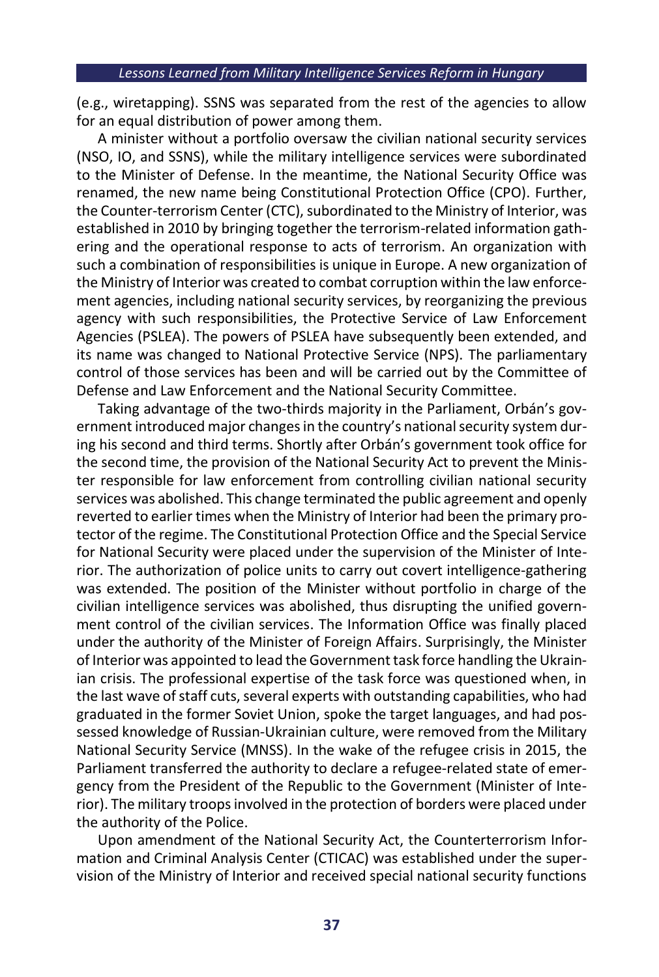(e.g., wiretapping). SSNS was separated from the rest of the agencies to allow for an equal distribution of power among them.

A minister without a portfolio oversaw the civilian national security services (NSO, IO, and SSNS), while the military intelligence services were subordinated to the Minister of Defense. In the meantime, the National Security Office was renamed, the new name being Constitutional Protection Office (CPO). Further, the Counter-terrorism Center (CTC), subordinated to the Ministry of Interior, was established in 2010 by bringing together the terrorism-related information gathering and the operational response to acts of terrorism. An organization with such a combination of responsibilities is unique in Europe. A new organization of the Ministry of Interior was created to combat corruption within the law enforcement agencies, including national security services, by reorganizing the previous agency with such responsibilities, the Protective Service of Law Enforcement Agencies (PSLEA). The powers of PSLEA have subsequently been extended, and its name was changed to National Protective Service (NPS). The parliamentary control of those services has been and will be carried out by the Committee of Defense and Law Enforcement and the National Security Committee.

Taking advantage of the two-thirds majority in the Parliament, Orbán's government introduced major changes in the country's national security system during his second and third terms. Shortly after Orbán's government took office for the second time, the provision of the National Security Act to prevent the Minister responsible for law enforcement from controlling civilian national security services was abolished. This change terminated the public agreement and openly reverted to earlier times when the Ministry of Interior had been the primary protector of the regime. The Constitutional Protection Office and the Special Service for National Security were placed under the supervision of the Minister of Interior. The authorization of police units to carry out covert intelligence-gathering was extended. The position of the Minister without portfolio in charge of the civilian intelligence services was abolished, thus disrupting the unified government control of the civilian services. The Information Office was finally placed under the authority of the Minister of Foreign Affairs. Surprisingly, the Minister of Interior was appointed to lead the Government task force handling the Ukrainian crisis. The professional expertise of the task force was questioned when, in the last wave of staff cuts, several experts with outstanding capabilities, who had graduated in the former Soviet Union, spoke the target languages, and had possessed knowledge of Russian-Ukrainian culture, were removed from the Military National Security Service (MNSS). In the wake of the refugee crisis in 2015, the Parliament transferred the authority to declare a refugee-related state of emergency from the President of the Republic to the Government (Minister of Interior). The military troops involved in the protection of borders were placed under the authority of the Police.

Upon amendment of the National Security Act, the Counterterrorism Information and Criminal Analysis Center (CTICAC) was established under the supervision of the Ministry of Interior and received special national security functions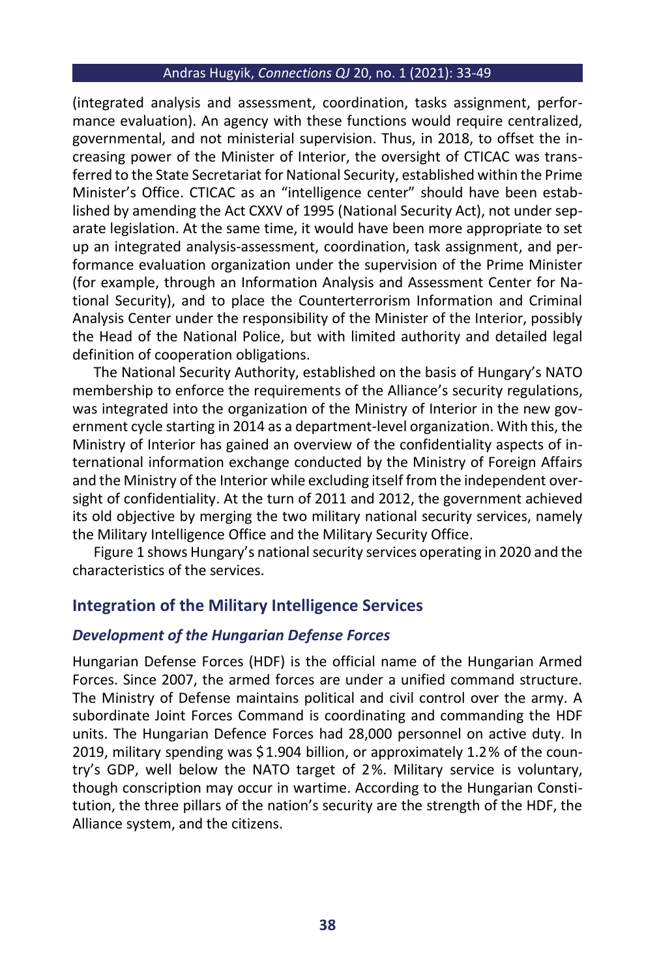(integrated analysis and assessment, coordination, tasks assignment, performance evaluation). An agency with these functions would require centralized, governmental, and not ministerial supervision. Thus, in 2018, to offset the increasing power of the Minister of Interior, the oversight of CTICAC was transferred to the State Secretariat for National Security, established within the Prime Minister's Office. CTICAC as an "intelligence center" should have been established by amending the Act CXXV of 1995 (National Security Act), not under separate legislation. At the same time, it would have been more appropriate to set up an integrated analysis-assessment, coordination, task assignment, and performance evaluation organization under the supervision of the Prime Minister (for example, through an Information Analysis and Assessment Center for National Security), and to place the Counterterrorism Information and Criminal Analysis Center under the responsibility of the Minister of the Interior, possibly the Head of the National Police, but with limited authority and detailed legal definition of cooperation obligations.

The National Security Authority, established on the basis of Hungary's NATO membership to enforce the requirements of the Alliance's security regulations, was integrated into the organization of the Ministry of Interior in the new government cycle starting in 2014 as a department-level organization. With this, the Ministry of Interior has gained an overview of the confidentiality aspects of international information exchange conducted by the Ministry of Foreign Affairs and the Ministry of the Interior while excluding itself from the independent oversight of confidentiality. At the turn of 2011 and 2012, the government achieved its old objective by merging the two military national security services, namely the Military Intelligence Office and the Military Security Office.

Figure 1 shows Hungary's national security services operating in 2020 and the characteristics of the services.

#### **Integration of the Military Intelligence Services**

#### *Development of the Hungarian Defense Forces*

Hungarian Defense Forces (HDF) is the official name of the Hungarian Armed Forces. Since 2007, the armed forces are under a unified command structure. The Ministry of Defense maintains political and civil control over the army. A subordinate Joint Forces Command is coordinating and commanding the HDF units. The Hungarian Defence Forces had 28,000 personnel on active duty. In 2019, military spending was \$1.904 billion, or approximately 1.2% of the country's GDP, well below the NATO target of 2%. Military service is voluntary, though conscription may occur in wartime. According to the Hungarian Constitution, the three pillars of the nation's security are the strength of the HDF, the Alliance system, and the citizens.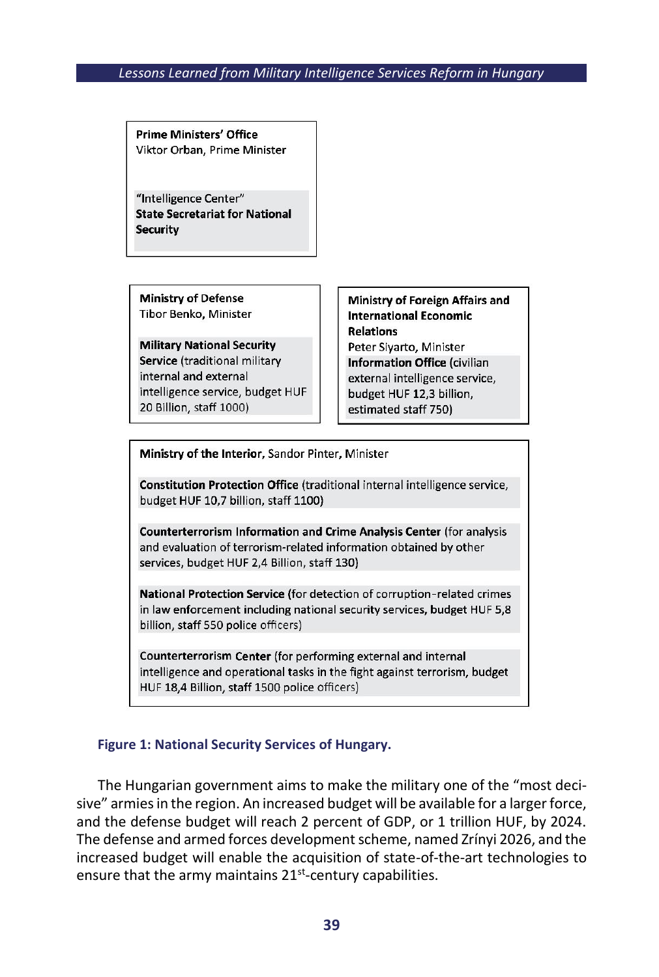**Prime Ministers' Office** Viktor Orban, Prime Minister

"Intelligence Center" **State Secretariat for National Security** 

**Ministry of Defense** Tibor Benko, Minister

**Military National Security** Service (traditional military internal and external intelligence service, budget HUF 20 Billion, staff 1000)

**Ministry of Foreign Affairs and International Economic Relations** Peter Sivarto, Minister Information Office (civilian external intelligence service, budget HUF 12,3 billion, estimated staff 750)

Ministry of the Interior, Sandor Pinter, Minister

Constitution Protection Office (traditional internal intelligence service, budget HUF 10,7 billion, staff 1100)

Counterterrorism Information and Crime Analysis Center (for analysis and evaluation of terrorism-related information obtained by other services, budget HUF 2,4 Billion, staff 130)

National Protection Service (for detection of corruption-related crimes in law enforcement including national security services, budget HUF 5,8 billion, staff 550 police officers)

Counterterrorism Center (for performing external and internal intelligence and operational tasks in the fight against terrorism, budget HUF 18,4 Billion, staff 1500 police officers)

#### **Figure 1: National Security Services of Hungary.**

The Hungarian government aims to make the military one of the "most decisive" armies in the region. An increased budget will be available for a larger force, and the defense budget will reach 2 percent of GDP, or 1 trillion HUF, by 2024. The defense and armed forces development scheme, named Zrínyi 2026, and the increased budget will enable the acquisition of state-of-the-art technologies to ensure that the army maintains 21<sup>st</sup>-century capabilities.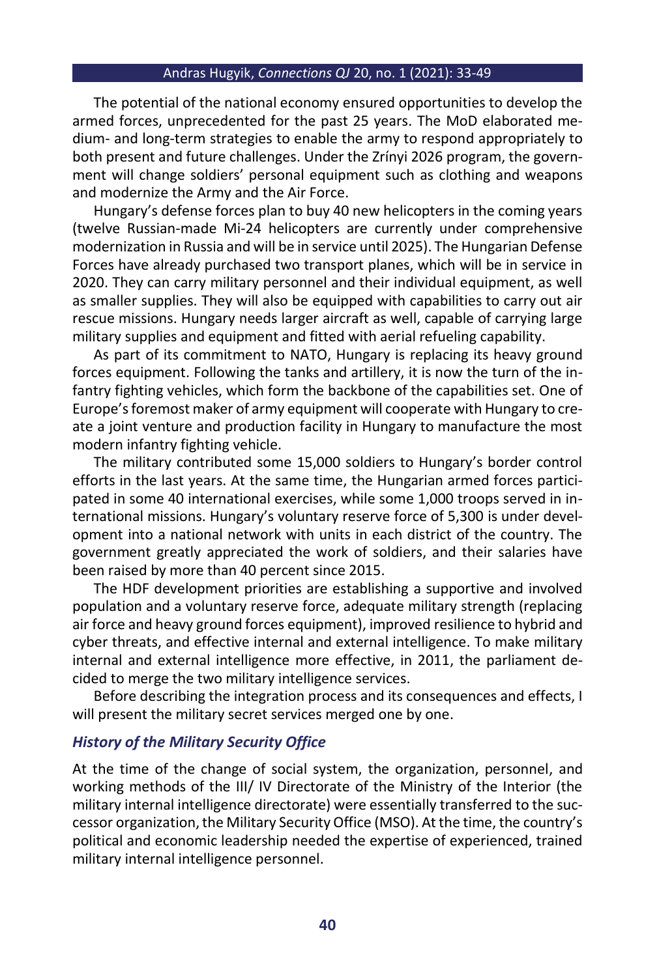The potential of the national economy ensured opportunities to develop the armed forces, unprecedented for the past 25 years. The MoD elaborated medium- and long-term strategies to enable the army to respond appropriately to both present and future challenges. Under the Zrínyi 2026 program, the government will change soldiers' personal equipment such as clothing and weapons and modernize the Army and the Air Force.

Hungary's defense forces plan to buy 40 new helicopters in the coming years (twelve Russian-made Mi-24 helicopters are currently under comprehensive modernization in Russia and will be in service until 2025). The Hungarian Defense Forces have already purchased two transport planes, which will be in service in 2020. They can carry military personnel and their individual equipment, as well as smaller supplies. They will also be equipped with capabilities to carry out air rescue missions. Hungary needs larger aircraft as well, capable of carrying large military supplies and equipment and fitted with aerial refueling capability.

As part of its commitment to NATO, Hungary is replacing its heavy ground forces equipment. Following the tanks and artillery, it is now the turn of the infantry fighting vehicles, which form the backbone of the capabilities set. One of Europe's foremost maker of army equipment will cooperate with Hungary to create a joint venture and production facility in Hungary to manufacture the most modern infantry fighting vehicle.

The military contributed some 15,000 soldiers to Hungary's border control efforts in the last years. At the same time, the Hungarian armed forces participated in some 40 international exercises, while some 1,000 troops served in international missions. Hungary's voluntary reserve force of 5,300 is under development into a national network with units in each district of the country. The government greatly appreciated the work of soldiers, and their salaries have been raised by more than 40 percent since 2015.

The HDF development priorities are establishing a supportive and involved population and a voluntary reserve force, adequate military strength (replacing air force and heavy ground forces equipment), improved resilience to hybrid and cyber threats, and effective internal and external intelligence. To make military internal and external intelligence more effective, in 2011, the parliament decided to merge the two military intelligence services.

Before describing the integration process and its consequences and effects, I will present the military secret services merged one by one.

#### *History of the Military Security Office*

At the time of the change of social system, the organization, personnel, and working methods of the III/ IV Directorate of the Ministry of the Interior (the military internal intelligence directorate) were essentially transferred to the successor organization, the Military Security Office (MSO). At the time, the country's political and economic leadership needed the expertise of experienced, trained military internal intelligence personnel.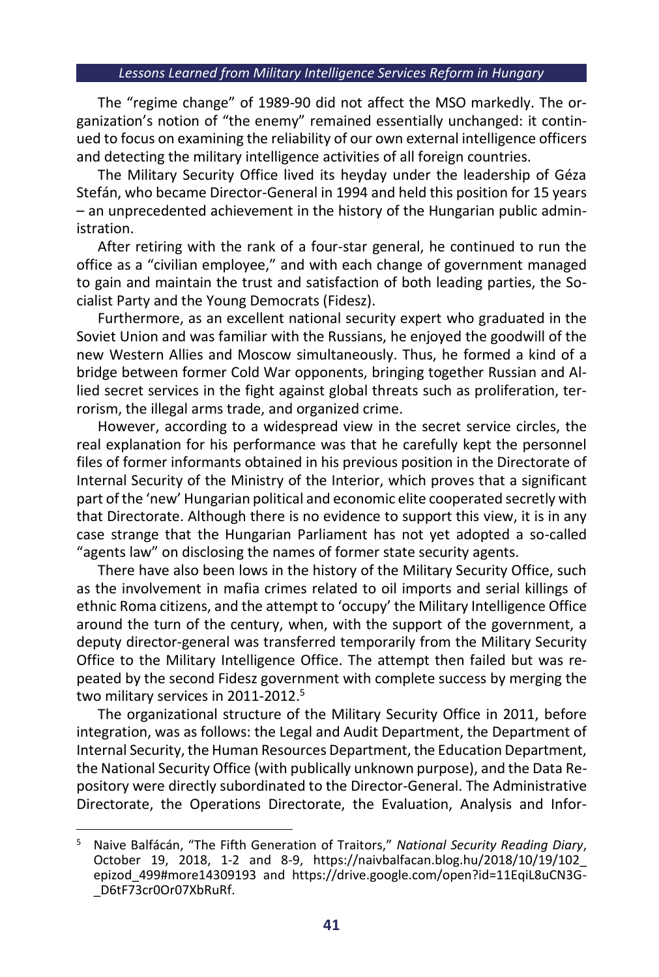The "regime change" of 1989-90 did not affect the MSO markedly. The organization's notion of "the enemy" remained essentially unchanged: it continued to focus on examining the reliability of our own external intelligence officers and detecting the military intelligence activities of all foreign countries.

The Military Security Office lived its heyday under the leadership of Géza Stefán, who became Director-General in 1994 and held this position for 15 years – an unprecedented achievement in the history of the Hungarian public administration.

After retiring with the rank of a four-star general, he continued to run the office as a "civilian employee," and with each change of government managed to gain and maintain the trust and satisfaction of both leading parties, the Socialist Party and the Young Democrats (Fidesz).

Furthermore, as an excellent national security expert who graduated in the Soviet Union and was familiar with the Russians, he enjoyed the goodwill of the new Western Allies and Moscow simultaneously. Thus, he formed a kind of a bridge between former Cold War opponents, bringing together Russian and Allied secret services in the fight against global threats such as proliferation, terrorism, the illegal arms trade, and organized crime.

However, according to a widespread view in the secret service circles, the real explanation for his performance was that he carefully kept the personnel files of former informants obtained in his previous position in the Directorate of Internal Security of the Ministry of the Interior, which proves that a significant part of the 'new' Hungarian political and economic elite cooperated secretly with that Directorate. Although there is no evidence to support this view, it is in any case strange that the Hungarian Parliament has not yet adopted a so-called "agents law" on disclosing the names of former state security agents.

There have also been lows in the history of the Military Security Office, such as the involvement in mafia crimes related to oil imports and serial killings of ethnic Roma citizens, and the attempt to 'occupy' the Military Intelligence Office around the turn of the century, when, with the support of the government, a deputy director-general was transferred temporarily from the Military Security Office to the Military Intelligence Office. The attempt then failed but was repeated by the second Fidesz government with complete success by merging the two military services in 2011-2012.<sup>5</sup>

The organizational structure of the Military Security Office in 2011, before integration, was as follows: the Legal and Audit Department, the Department of Internal Security, the Human Resources Department, the Education Department, the National Security Office (with publically unknown purpose), and the Data Repository were directly subordinated to the Director-General. The Administrative Directorate, the Operations Directorate, the Evaluation, Analysis and Infor-

<sup>5</sup> Naive Balfácán, "The Fifth Generation of Traitors," *National Security Reading Diary*, October 19, 2018, 1-2 and 8-9, [https://naivbalfacan.blog.hu/2018/10/19/102\\_](https://naivbalfacan.blog.hu/2018/10/19/102_epizod_499#more14309193) [epizod\\_499#more14309193](https://naivbalfacan.blog.hu/2018/10/19/102_epizod_499#more14309193) and [https://drive.google.com/open?id=11EqiL8uCN3G-](https://drive.google.com/open?id=11EqiL8uCN3G-_D6tF73cr0Or07XbRuRf) [\\_D6tF73cr0Or07XbRuRf.](https://drive.google.com/open?id=11EqiL8uCN3G-_D6tF73cr0Or07XbRuRf)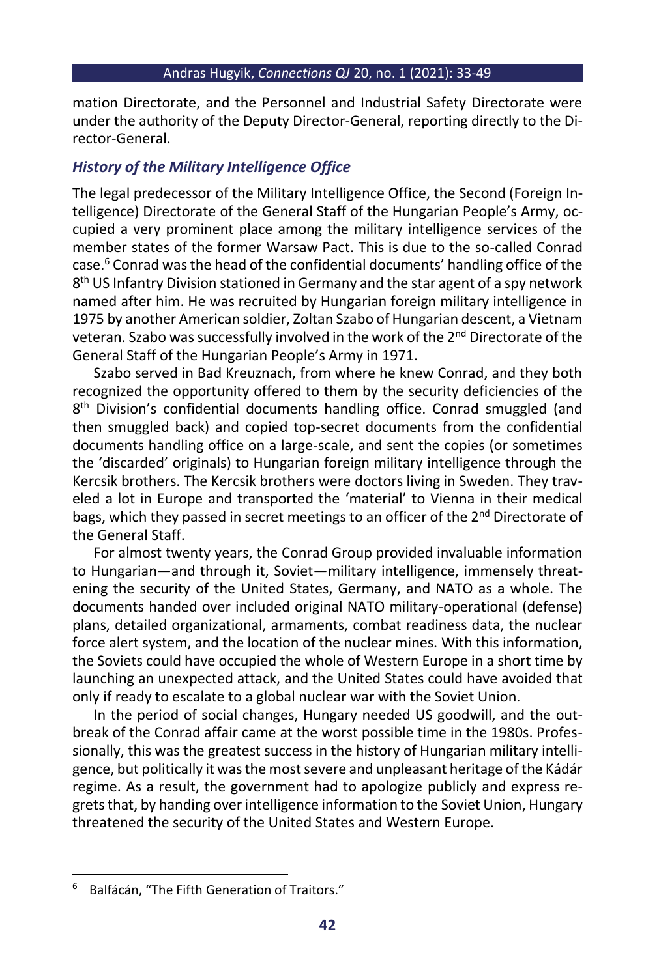mation Directorate, and the Personnel and Industrial Safety Directorate were under the authority of the Deputy Director-General, reporting directly to the Director-General.

## *History of the Military Intelligence Office*

The legal predecessor of the Military Intelligence Office, the Second (Foreign Intelligence) Directorate of the General Staff of the Hungarian People's Army, occupied a very prominent place among the military intelligence services of the member states of the former Warsaw Pact. This is due to the so-called Conrad case.<sup>6</sup> Conrad was the head of the confidential documents' handling office of the 8 th US Infantry Division stationed in Germany and the star agent of a spy network named after him. He was recruited by Hungarian foreign military intelligence in 1975 by another American soldier, Zoltan Szabo of Hungarian descent, a Vietnam veteran. Szabo was successfully involved in the work of the 2<sup>nd</sup> Directorate of the General Staff of the Hungarian People's Army in 1971.

Szabo served in Bad Kreuznach, from where he knew Conrad, and they both recognized the opportunity offered to them by the security deficiencies of the 8 th Division's confidential documents handling office. Conrad smuggled (and then smuggled back) and copied top-secret documents from the confidential documents handling office on a large-scale, and sent the copies (or sometimes the 'discarded' originals) to Hungarian foreign military intelligence through the Kercsik brothers. The Kercsik brothers were doctors living in Sweden. They traveled a lot in Europe and transported the 'material' to Vienna in their medical bags, which they passed in secret meetings to an officer of the 2<sup>nd</sup> Directorate of the General Staff.

For almost twenty years, the Conrad Group provided invaluable information to Hungarian—and through it, Soviet—military intelligence, immensely threatening the security of the United States, Germany, and NATO as a whole. The documents handed over included original NATO military-operational (defense) plans, detailed organizational, armaments, combat readiness data, the nuclear force alert system, and the location of the nuclear mines. With this information, the Soviets could have occupied the whole of Western Europe in a short time by launching an unexpected attack, and the United States could have avoided that only if ready to escalate to a global nuclear war with the Soviet Union.

In the period of social changes, Hungary needed US goodwill, and the outbreak of the Conrad affair came at the worst possible time in the 1980s. Professionally, this was the greatest success in the history of Hungarian military intelligence, but politically it was the most severe and unpleasant heritage of the Kádár regime. As a result, the government had to apologize publicly and express regrets that, by handing over intelligence information to the Soviet Union, Hungary threatened the security of the United States and Western Europe.

<sup>6</sup> Balfácán, "The Fifth Generation of Traitors."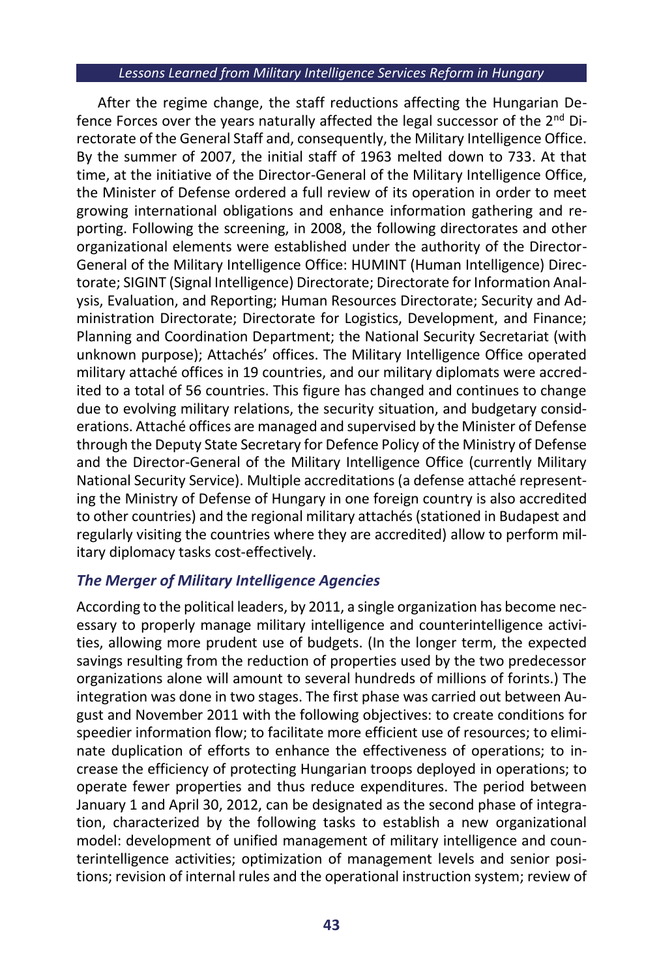After the regime change, the staff reductions affecting the Hungarian Defence Forces over the years naturally affected the legal successor of the 2<sup>nd</sup> Directorate of the General Staff and, consequently, the Military Intelligence Office. By the summer of 2007, the initial staff of 1963 melted down to 733. At that time, at the initiative of the Director-General of the Military Intelligence Office, the Minister of Defense ordered a full review of its operation in order to meet growing international obligations and enhance information gathering and reporting. Following the screening, in 2008, the following directorates and other organizational elements were established under the authority of the Director-General of the Military Intelligence Office: HUMINT (Human Intelligence) Directorate; SIGINT (Signal Intelligence) Directorate; Directorate for Information Analysis, Evaluation, and Reporting; Human Resources Directorate; Security and Administration Directorate; Directorate for Logistics, Development, and Finance; Planning and Coordination Department; the National Security Secretariat (with unknown purpose); Attachés' offices. The Military Intelligence Office operated military attaché offices in 19 countries, and our military diplomats were accredited to a total of 56 countries. This figure has changed and continues to change due to evolving military relations, the security situation, and budgetary considerations. Attaché offices are managed and supervised by the Minister of Defense through the Deputy State Secretary for Defence Policy of the Ministry of Defense and the Director-General of the Military Intelligence Office (currently Military National Security Service). Multiple accreditations (a defense attaché representing the Ministry of Defense of Hungary in one foreign country is also accredited to other countries) and the regional military attachés (stationed in Budapest and regularly visiting the countries where they are accredited) allow to perform military diplomacy tasks cost-effectively.

## *The Merger of Military Intelligence Agencies*

According to the political leaders, by 2011, a single organization has become necessary to properly manage military intelligence and counterintelligence activities, allowing more prudent use of budgets. (In the longer term, the expected savings resulting from the reduction of properties used by the two predecessor organizations alone will amount to several hundreds of millions of forints.) The integration was done in two stages. The first phase was carried out between August and November 2011 with the following objectives: to create conditions for speedier information flow; to facilitate more efficient use of resources; to eliminate duplication of efforts to enhance the effectiveness of operations; to increase the efficiency of protecting Hungarian troops deployed in operations; to operate fewer properties and thus reduce expenditures. The period between January 1 and April 30, 2012, can be designated as the second phase of integration, characterized by the following tasks to establish a new organizational model: development of unified management of military intelligence and counterintelligence activities; optimization of management levels and senior positions; revision of internal rules and the operational instruction system; review of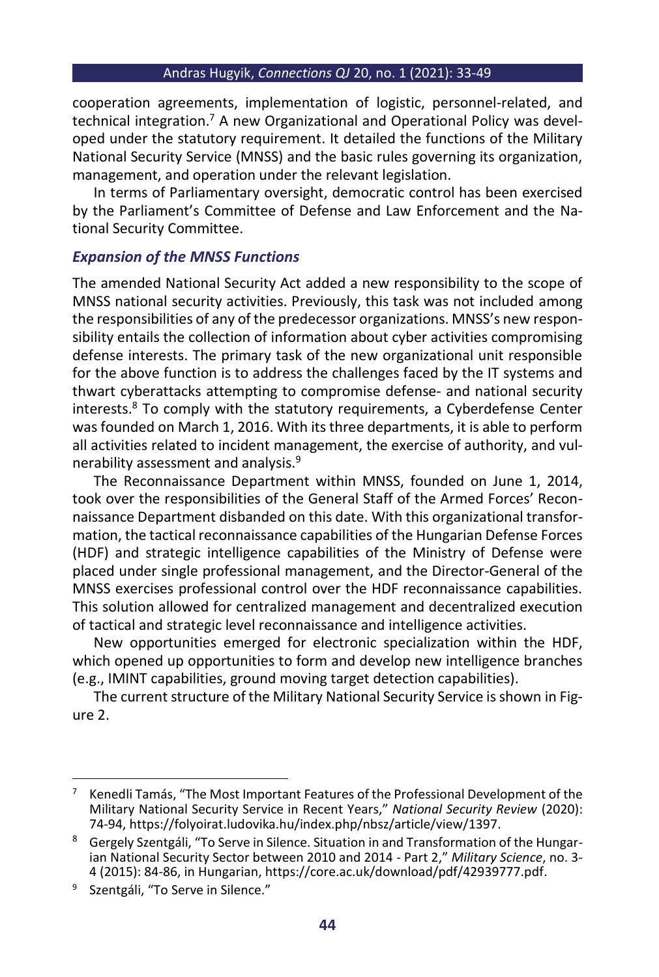cooperation agreements, implementation of logistic, personnel-related, and technical integration.<sup>7</sup> A new Organizational and Operational Policy was developed under the statutory requirement. It detailed the functions of the Military National Security Service (MNSS) and the basic rules governing its organization, management, and operation under the relevant legislation.

In terms of Parliamentary oversight, democratic control has been exercised by the Parliament's Committee of Defense and Law Enforcement and the National Security Committee.

## *Expansion of the MNSS Functions*

The amended National Security Act added a new responsibility to the scope of MNSS national security activities. Previously, this task was not included among the responsibilities of any of the predecessor organizations. MNSS's new responsibility entails the collection of information about cyber activities compromising defense interests. The primary task of the new organizational unit responsible for the above function is to address the challenges faced by the IT systems and thwart cyberattacks attempting to compromise defense- and national security interests.<sup>8</sup> To comply with the statutory requirements, a Cyberdefense Center was founded on March 1, 2016. With its three departments, it is able to perform all activities related to incident management, the exercise of authority, and vulnerability assessment and analysis.<sup>9</sup>

The Reconnaissance Department within MNSS, founded on June 1, 2014, took over the responsibilities of the General Staff of the Armed Forces' Reconnaissance Department disbanded on this date. With this organizational transformation, the tactical reconnaissance capabilities of the Hungarian Defense Forces (HDF) and strategic intelligence capabilities of the Ministry of Defense were placed under single professional management, and the Director-General of the MNSS exercises professional control over the HDF reconnaissance capabilities. This solution allowed for centralized management and decentralized execution of tactical and strategic level reconnaissance and intelligence activities.

New opportunities emerged for electronic specialization within the HDF, which opened up opportunities to form and develop new intelligence branches (e.g., IMINT capabilities, ground moving target detection capabilities).

The current structure of the Military National Security Service is shown in Figure 2.

<sup>7</sup> Kenedli Tamás, "The Most Important Features of the Professional Development of the Military National Security Service in Recent Years," *National Security Review* (2020): 74-94[, https://folyoirat.ludovika.hu/index.php/nbsz/article/view/1397.](https://folyoirat.ludovika.hu/index.php/nbsz/article/view/1397)

<sup>&</sup>lt;sup>8</sup> Gergely Szentgáli, "To Serve in Silence. Situation in and Transformation of the Hungarian National Security Sector between 2010 and 2014 - Part 2," *Military Science*, no. 3- 4 (2015): 84-86, in Hungarian, [https://core.ac.uk/download/pdf/42939777.pdf.](https://core.ac.uk/download/pdf/42939777.pdf)

<sup>&</sup>lt;sup>9</sup> Szentgáli, "To Serve in Silence."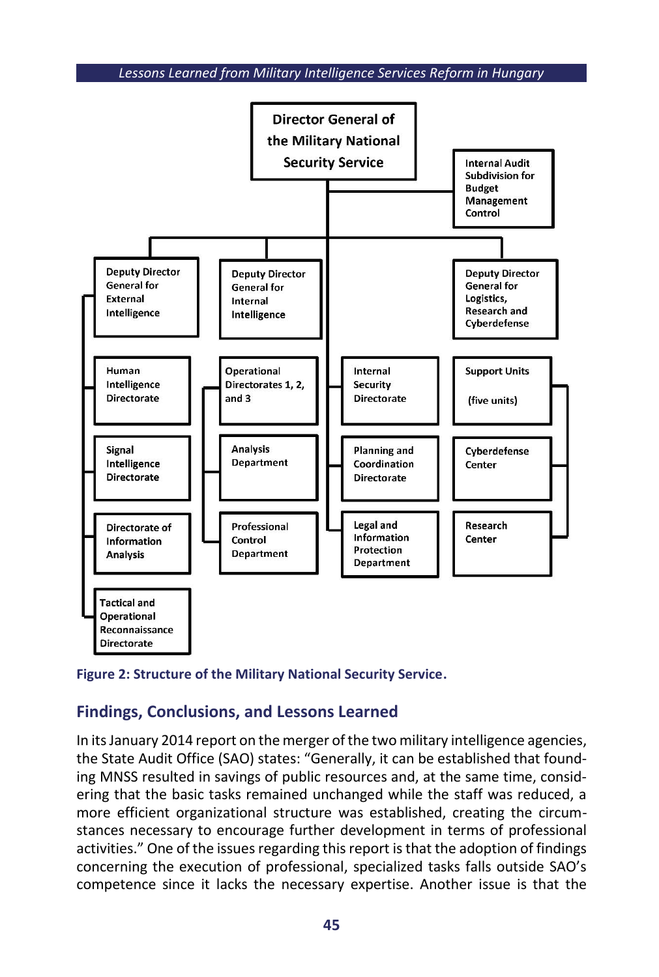



## **Findings, Conclusions, and Lessons Learned**

In its January 2014 report on the merger of the two military intelligence agencies, the State Audit Office (SAO) states: "Generally, it can be established that founding MNSS resulted in savings of public resources and, at the same time, considering that the basic tasks remained unchanged while the staff was reduced, a more efficient organizational structure was established, creating the circumstances necessary to encourage further development in terms of professional activities." One of the issues regarding this report is that the adoption of findings concerning the execution of professional, specialized tasks falls outside SAO's competence since it lacks the necessary expertise. Another issue is that the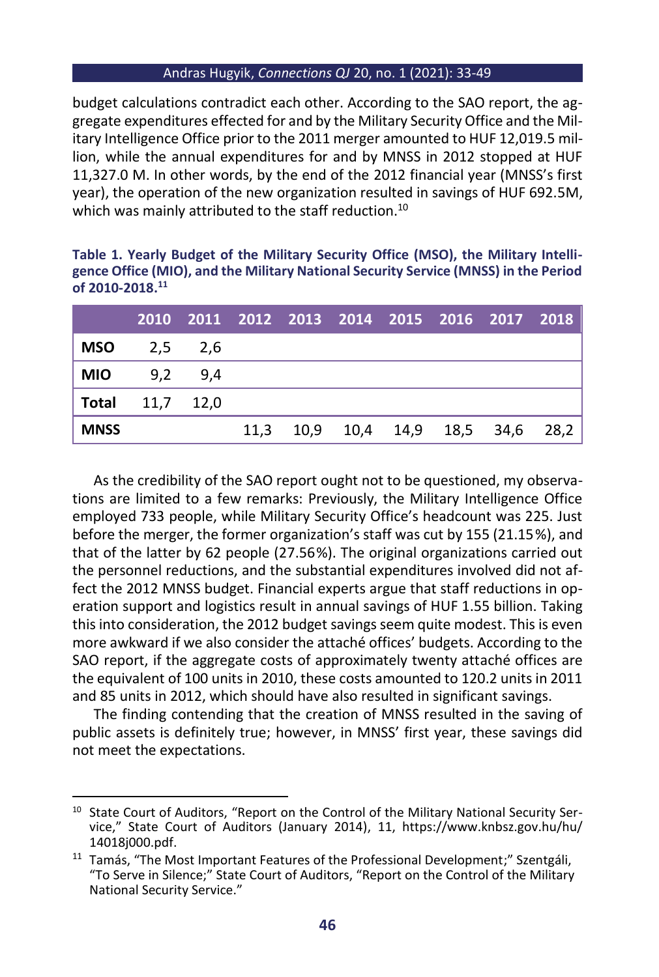budget calculations contradict each other. According to the SAO report, the aggregate expenditures effected for and by the Military Security Office and the Military Intelligence Office prior to the 2011 merger amounted to HUF 12,019.5 million, while the annual expenditures for and by MNSS in 2012 stopped at HUF 11,327.0 M. In other words, by the end of the 2012 financial year (MNSS's first year), the operation of the new organization resulted in savings of HUF 692.5M, which was mainly attributed to the staff reduction.<sup>10</sup>

| Table 1. Yearly Budget of the Military Security Office (MSO), the Military Intelli- |  |
|-------------------------------------------------------------------------------------|--|
| gence Office (MIO), and the Military National Security Service (MNSS) in the Period |  |
| of 2010-2018. <sup>11</sup>                                                         |  |

|                        |  |  | 2010 2011 2012 2013 2014 2015 2016 2017 2018 |  |  |
|------------------------|--|--|----------------------------------------------|--|--|
| <b>MSO</b> $2,5$ $2,6$ |  |  |                                              |  |  |
| <b>MIO</b> $9,2$ $9,4$ |  |  |                                              |  |  |
| Total $11,7$ $12,0$    |  |  |                                              |  |  |
| <b>MNSS</b>            |  |  | 11,3 10,9 10,4 14,9 18,5 34,6 28,2           |  |  |

As the credibility of the SAO report ought not to be questioned, my observations are limited to a few remarks: Previously, the Military Intelligence Office employed 733 people, while Military Security Office's headcount was 225. Just before the merger, the former organization's staff was cut by 155 (21.15%), and that of the latter by 62 people (27.56%). The original organizations carried out the personnel reductions, and the substantial expenditures involved did not affect the 2012 MNSS budget. Financial experts argue that staff reductions in operation support and logistics result in annual savings of HUF 1.55 billion. Taking this into consideration, the 2012 budget savings seem quite modest. This is even more awkward if we also consider the attaché offices' budgets. According to the SAO report, if the aggregate costs of approximately twenty attaché offices are the equivalent of 100 units in 2010, these costs amounted to 120.2 units in 2011 and 85 units in 2012, which should have also resulted in significant savings.

The finding contending that the creation of MNSS resulted in the saving of public assets is definitely true; however, in MNSS' first year, these savings did not meet the expectations.

<sup>&</sup>lt;sup>10</sup> State Court of Auditors, "Report on the Control of the Military National Security Service," State Court of Auditors (January 2014), 11, [https://www.knbsz.gov.hu/hu/](https://www.knbsz.gov.hu/hu/14018j000.pdf) [14018j000.pdf.](https://www.knbsz.gov.hu/hu/14018j000.pdf)

<sup>&</sup>lt;sup>11</sup> Tamás, "The Most Important Features of the Professional Development;" Szentgáli, "To Serve in Silence;" State Court of Auditors, "Report on the Control of the Military National Security Service."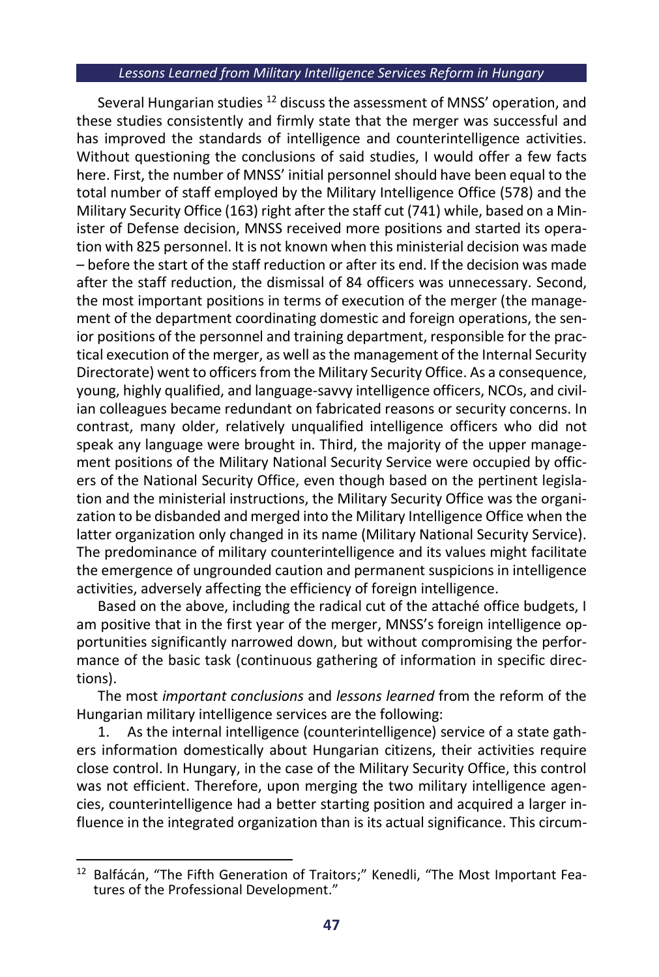Several Hungarian studies <sup>12</sup> discuss the assessment of MNSS' operation, and these studies consistently and firmly state that the merger was successful and has improved the standards of intelligence and counterintelligence activities. Without questioning the conclusions of said studies, I would offer a few facts here. First, the number of MNSS' initial personnel should have been equal to the total number of staff employed by the Military Intelligence Office (578) and the Military Security Office (163) right after the staff cut (741) while, based on a Minister of Defense decision, MNSS received more positions and started its operation with 825 personnel. It is not known when this ministerial decision was made – before the start of the staff reduction or after its end. If the decision was made after the staff reduction, the dismissal of 84 officers was unnecessary. Second, the most important positions in terms of execution of the merger (the management of the department coordinating domestic and foreign operations, the senior positions of the personnel and training department, responsible for the practical execution of the merger, as well as the management of the Internal Security Directorate) went to officers from the Military Security Office. As a consequence, young, highly qualified, and language-savvy intelligence officers, NCOs, and civilian colleagues became redundant on fabricated reasons or security concerns. In contrast, many older, relatively unqualified intelligence officers who did not speak any language were brought in. Third, the majority of the upper management positions of the Military National Security Service were occupied by officers of the National Security Office, even though based on the pertinent legislation and the ministerial instructions, the Military Security Office was the organization to be disbanded and merged into the Military Intelligence Office when the latter organization only changed in its name (Military National Security Service). The predominance of military counterintelligence and its values might facilitate the emergence of ungrounded caution and permanent suspicions in intelligence activities, adversely affecting the efficiency of foreign intelligence.

Based on the above, including the radical cut of the attaché office budgets, I am positive that in the first year of the merger, MNSS's foreign intelligence opportunities significantly narrowed down, but without compromising the performance of the basic task (continuous gathering of information in specific directions).

The most *important conclusions* and *lessons learned* from the reform of the Hungarian military intelligence services are the following:

1. As the internal intelligence (counterintelligence) service of a state gathers information domestically about Hungarian citizens, their activities require close control. In Hungary, in the case of the Military Security Office, this control was not efficient. Therefore, upon merging the two military intelligence agencies, counterintelligence had a better starting position and acquired a larger influence in the integrated organization than is its actual significance. This circum-

<sup>&</sup>lt;sup>12</sup> Balfácán, "The Fifth Generation of Traitors;" Kenedli, "The Most Important Features of the Professional Development."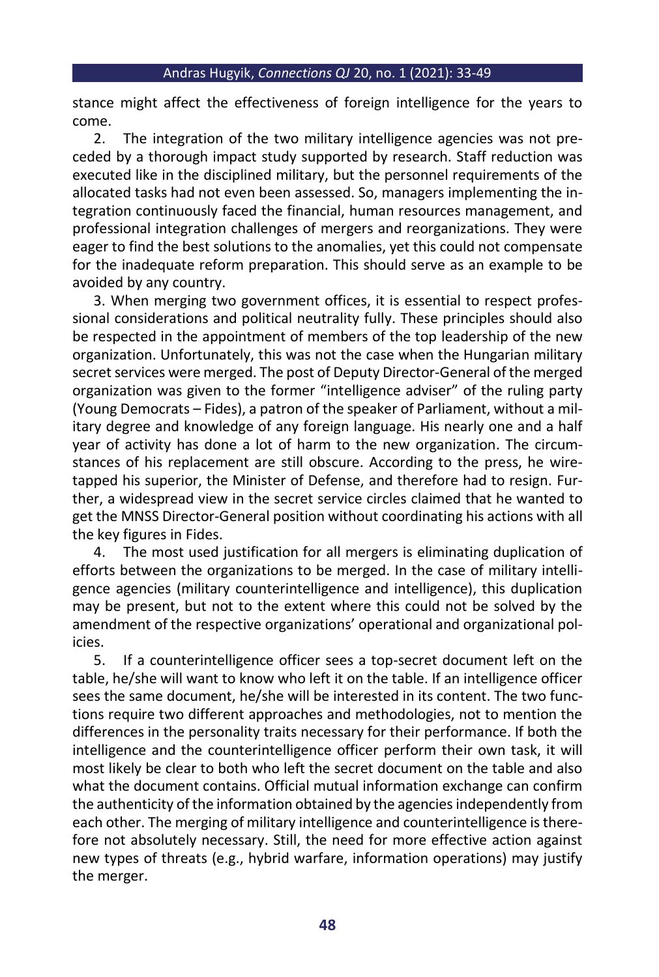stance might affect the effectiveness of foreign intelligence for the years to come.

2. The integration of the two military intelligence agencies was not preceded by a thorough impact study supported by research. Staff reduction was executed like in the disciplined military, but the personnel requirements of the allocated tasks had not even been assessed. So, managers implementing the integration continuously faced the financial, human resources management, and professional integration challenges of mergers and reorganizations. They were eager to find the best solutions to the anomalies, yet this could not compensate for the inadequate reform preparation. This should serve as an example to be avoided by any country.

3. When merging two government offices, it is essential to respect professional considerations and political neutrality fully. These principles should also be respected in the appointment of members of the top leadership of the new organization. Unfortunately, this was not the case when the Hungarian military secret services were merged. The post of Deputy Director-General of the merged organization was given to the former "intelligence adviser" of the ruling party (Young Democrats – Fides), a patron of the speaker of Parliament, without a military degree and knowledge of any foreign language. His nearly one and a half year of activity has done a lot of harm to the new organization. The circumstances of his replacement are still obscure. According to the press, he wiretapped his superior, the Minister of Defense, and therefore had to resign. Further, a widespread view in the secret service circles claimed that he wanted to get the MNSS Director-General position without coordinating his actions with all the key figures in Fides.

4. The most used justification for all mergers is eliminating duplication of efforts between the organizations to be merged. In the case of military intelligence agencies (military counterintelligence and intelligence), this duplication may be present, but not to the extent where this could not be solved by the amendment of the respective organizations' operational and organizational policies.

5. If a counterintelligence officer sees a top-secret document left on the table, he/she will want to know who left it on the table. If an intelligence officer sees the same document, he/she will be interested in its content. The two functions require two different approaches and methodologies, not to mention the differences in the personality traits necessary for their performance. If both the intelligence and the counterintelligence officer perform their own task, it will most likely be clear to both who left the secret document on the table and also what the document contains. Official mutual information exchange can confirm the authenticity of the information obtained by the agencies independently from each other. The merging of military intelligence and counterintelligence is therefore not absolutely necessary. Still, the need for more effective action against new types of threats (e.g., hybrid warfare, information operations) may justify the merger.